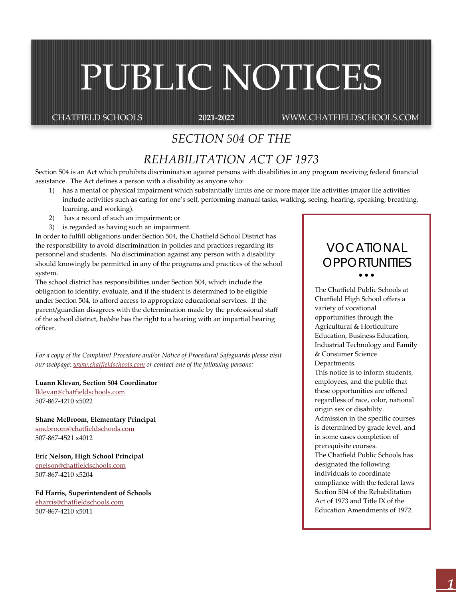# PUBLIC NOTICES

CHATFIELD SCHOOLS **2021-2022** WWW.CHATFIELDSCHOOLS.COM

# *SECTION 504 OF THE*

# *REHABILITATION ACT OF 1973*

Section 504 is an Act which prohibits discrimination against persons with disabilities in any program receiving federal financial assistance. The Act defines a person with a disability as anyone who:

- 1) has a mental or physical impairment which substantially limits one or more major life activities (major life activities include activities such as caring for one's self, performing manual tasks, walking, seeing, hearing, speaking, breathing, learning, and working).
- 2) has a record of such an impairment; or
- 3) is regarded as having such an impairment.

In order to fulfill obligations under Section 504, the Chatfield School District has the responsibility to avoid discrimination in policies and practices regarding its personnel and students. No discrimination against any person with a disability should knowingly be permitted in any of the programs and practices of the school system.

The school district has responsibilities under Section 504, which include the obligation to identify, evaluate, and if the student is determined to be eligible under Section 504, to afford access to appropriate educational services. If the parent/guardian disagrees with the determination made by the professional staff of the school district, he/she has the right to a hearing with an impartial hearing officer.

*For a copy of the Complaint Procedure and/or Notice of Procedural Safeguards please visit our webpage[: www.chatfieldschools.com](http://www.chatfieldschools.com/) or contact one of the following persons:*

**Luann Klevan, Section 504 Coordinator** [lklevan@chatfieldschools.com](mailto:lklevan@chatfieldschools.com) 507-867-4210 x5022

**Shane McBroom, Elementary Principal** [smcbroom@chatfieldschools.com](mailto:smcbroom@chatfieldschools.com) 507-867-4521 x4012

**Eric Nelson, High School Principal** [enelson@chatfieldschools.com](mailto:enelson@chatfieldschools.com) 507-867-4210 x5204

**Ed Harris, Superintendent of Schools** [eharris@chatfieldschools.com](mailto:eharris@chatfieldschools.com) 507-867-4210 x5011

# *VOCATIONAL OPPORTUNITIES*

• • •

The Chatfield Public Schools at Chatfield High School offers a variety of vocational opportunities through the Agricultural & Horticulture Education, Business Education, Industrial Technology and Family & Consumer Science Departments.

This notice is to inform students, employees, and the public that these opportunities are offered regardless of race, color, national origin sex or disability.

Admission in the specific courses is determined by grade level, and in some cases completion of prerequisite courses. The Chatfield Public Schools has

designated the following individuals to coordinate compliance with the federal laws Section 504 of the Rehabilitation Act of 1973 and Title IX of the Education Amendments of 1972.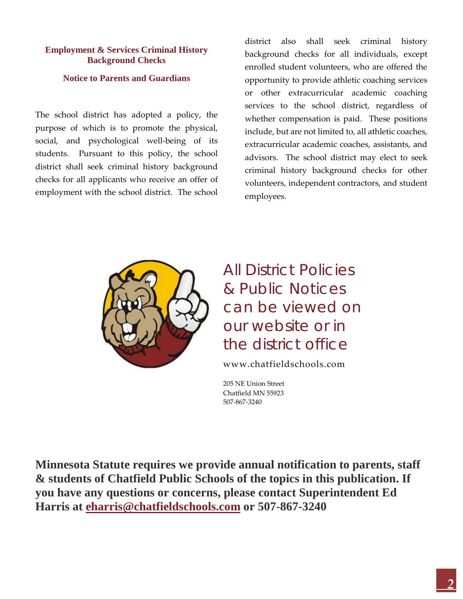# **Employment & Services Criminal History Background Checks**

## **Notice to Parents and Guardians**

The school district has adopted a policy, the purpose of which is to promote the physical, social, and psychological well-being of its students. Pursuant to this policy, the school district shall seek criminal history background checks for all applicants who receive an offer of employment with the school district. The school

district also shall seek criminal history background checks for all individuals, except enrolled student volunteers, who are offered the opportunity to provide athletic coaching services or other extracurricular academic coaching services to the school district, regardless of whether compensation is paid. These positions include, but are not limited to, all athletic coaches, extracurricular academic coaches, assistants, and advisors. The school district may elect to seek criminal history background checks for other volunteers, independent contractors, and student employees.



All District Policies & Public Notices can be viewed on our website or in the district office

www.chatfieldschools.com

205 NE Union Street Chatfield MN 55923 507-867-3240

**Minnesota Statute requires we provide annual notification to parents, staff & students of Chatfield Public Schools of the topics in this publication. If you have any questions or concerns, please contact Superintendent Ed Harris at [eharris@chatfieldschools.com](mailto:eharris@chatfieldschools.com) or 507-867-3240**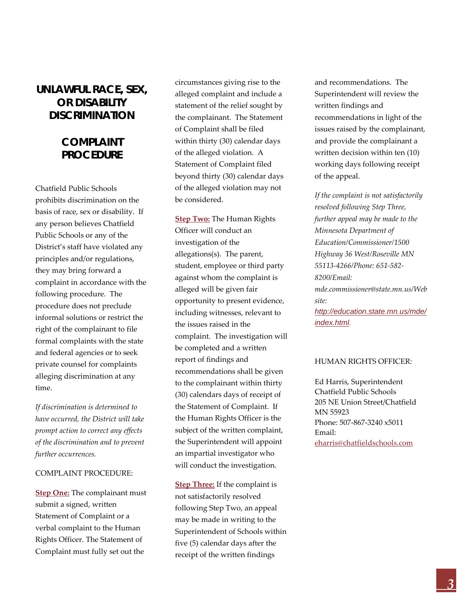# *UNLAWFUL RACE, SEX, OR DISABILITY DISCRIMINATION*

# *COMPLAINT PROCEDURE*

Chatfield Public Schools prohibits discrimination on the basis of race, sex or disability. If any person believes Chatfield Public Schools or any of the District's staff have violated any principles and/or regulations, they may bring forward a complaint in accordance with the following procedure. The procedure does not preclude informal solutions or restrict the right of the complainant to file formal complaints with the state and federal agencies or to seek private counsel for complaints alleging discrimination at any time.

*If discrimination is determined to have occurred, the District will take prompt action to correct any effects of the discrimination and to prevent further occurrences.*

#### COMPLAINT PROCEDURE:

**Step One:** The complainant must submit a signed, written Statement of Complaint or a verbal complaint to the Human Rights Officer. The Statement of Complaint must fully set out the

circumstances giving rise to the alleged complaint and include a statement of the relief sought by the complainant. The Statement of Complaint shall be filed within thirty (30) calendar days of the alleged violation. A Statement of Complaint filed beyond thirty (30) calendar days of the alleged violation may not be considered.

**Step Two:** The Human Rights Officer will conduct an investigation of the allegations(s). The parent, student, employee or third party against whom the complaint is alleged will be given fair opportunity to present evidence, including witnesses, relevant to the issues raised in the complaint. The investigation will be completed and a written report of findings and recommendations shall be given to the complainant within thirty (30) calendars days of receipt of the Statement of Complaint. If the Human Rights Officer is the subject of the written complaint, the Superintendent will appoint an impartial investigator who will conduct the investigation.

**Step Three:** If the complaint is not satisfactorily resolved following Step Two, an appeal may be made in writing to the Superintendent of Schools within five (5) calendar days after the receipt of the written findings

and recommendations. The Superintendent will review the written findings and recommendations in light of the issues raised by the complainant, and provide the complainant a written decision within ten (10) working days following receipt of the appeal.

*If the complaint is not satisfactorily resolved following Step Three, further appeal may be made to the Minnesota Department of Education/Commissioner/1500 Highway 36 West/Roseville MN 55113-4266/Phone: 651-582- 8200/Email: mde.commissioner@state.mn.us/Web site: [http://education.state.mn.us/mde/](http://education.state.mn.us/mde/index.html) [index.html](http://education.state.mn.us/mde/index.html).* 

#### HUMAN RIGHTS OFFICER:

Ed Harris, Superintendent Chatfield Public Schools 205 NE Union Street/Chatfield MN 55923 Phone: 507-867-3240 x5011 Email: [eharris@chatfieldschools.com](mailto:eharris@chatfieldschools.com)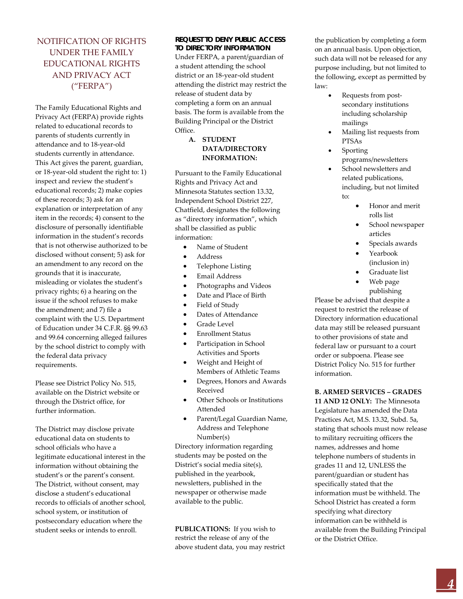# NOTIFICATION OF RIGHTS UNDER THE FAMILY EDUCATIONAL RIGHTS AND PRIVACY ACT ("FERPA")

The Family Educational Rights and Privacy Act (FERPA) provide rights related to educational records to parents of students currently in attendance and to 18-year-old students currently in attendance. This Act gives the parent, guardian, or 18-year-old student the right to: 1) inspect and review the student's educational records; 2) make copies of these records; 3) ask for an explanation or interpretation of any item in the records; 4) consent to the disclosure of personally identifiable information in the student's records that is not otherwise authorized to be disclosed without consent; 5) ask for an amendment to any record on the grounds that it is inaccurate, misleading or violates the student's privacy rights; 6) a hearing on the issue if the school refuses to make the amendment; and 7) file a complaint with the U.S. Department of Education under 34 C.F.R. §§ 99.63 and 99.64 concerning alleged failures by the school district to comply with the federal data privacy requirements.

Please see District Policy No. 515, available on the District website or through the District office, for further information.

The District may disclose private educational data on students to school officials who have a legitimate educational interest in the information without obtaining the student's or the parent's consent. The District, without consent, may disclose a student's educational records to officials of another school, school system, or institution of postsecondary education where the student seeks or intends to enroll.

#### *REQUEST TO DENY PUBLIC ACCESS TO DIRECTORY INFORMATION*

Under FERPA, a parent/guardian of a student attending the school district or an 18-year-old student attending the district may restrict the release of student data by completing a form on an annual basis. The form is available from the Building Principal or the District Office.

> **A. STUDENT DATA/DIRECTORY INFORMATION:**

Pursuant to the Family Educational Rights and Privacy Act and Minnesota Statutes section 13.32, Independent School District 227, Chatfield, designates the following as "directory information", which shall be classified as public information:

- Name of Student
- Address
- Telephone Listing
- Email Address
- Photographs and Videos
- Date and Place of Birth
- Field of Study
- Dates of Attendance
- Grade Level
- Enrollment Status
- Participation in School Activities and Sports
- Weight and Height of Members of Athletic Teams
- Degrees, Honors and Awards Received
- Other Schools or Institutions Attended
- Parent/Legal Guardian Name, Address and Telephone Number(s)

Directory information regarding students may be posted on the District's social media site(s), published in the yearbook, newsletters, published in the newspaper or otherwise made available to the public.

**PUBLICATIONS:** If you wish to restrict the release of any of the above student data, you may restrict the publication by completing a form on an annual basis. Upon objection, such data will not be released for any purpose including, but not limited to the following, except as permitted by law:

- Requests from postsecondary institutions including scholarship mailings
- Mailing list requests from PTSAs
- **Sporting**
- programs/newsletters School newsletters and
- related publications, including, but not limited to:
	- Honor and merit rolls list
	- School newspaper articles
	- Specials awards
	- Yearbook (inclusion in)
	- Graduate list
	- Web page publishing

Please be advised that despite a request to restrict the release of Directory information educational data may still be released pursuant to other provisions of state and federal law or pursuant to a court order or subpoena. Please see District Policy No. 515 for further information.

**B. ARMED SERVICES – GRADES 11 AND 12 ONLY:** The Minnesota Legislature has amended the Data Practices Act, M.S. 13.32, Subd. 5a, stating that schools must now release to military recruiting officers the names, addresses and home telephone numbers of students in grades 11 and 12, UNLESS the parent/guardian or student has specifically stated that the information must be withheld. The School District has created a form specifying what directory information can be withheld is available from the Building Principal or the District Office.